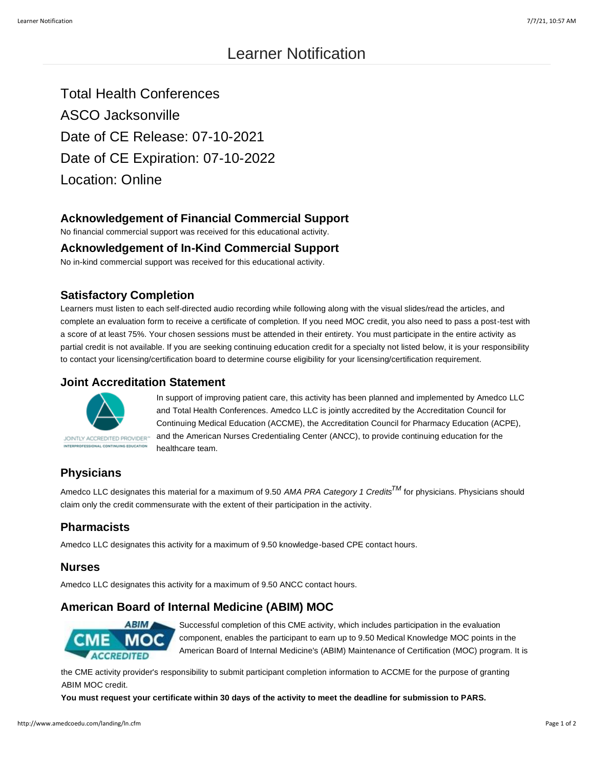# Learner Notification

Total Health Conferences ASCO Jacksonville Date of CE Release: 07-10-2021 Date of CE Expiration: 07-10-2022 Location: Online

# **Acknowledgement of Financial Commercial Support**

No financial commercial support was received for this educational activity.

#### **Acknowledgement of In-Kind Commercial Support**

No in-kind commercial support was received for this educational activity.

## **Satisfactory Completion**

Learners must listen to each self-directed audio recording while following along with the visual slides/read the articles, and complete an evaluation form to receive a certificate of completion. If you need MOC credit, you also need to pass a post-test with a score of at least 75%. Your chosen sessions must be attended in their entirety. You must participate in the entire activity as partial credit is not available. If you are seeking continuing education credit for a specialty not listed below, it is your responsibility to contact your licensing/certification board to determine course eligibility for your licensing/certification requirement.

### **Joint Accreditation Statement**



In support of improving patient care, this activity has been planned and implemented by Amedco LLC and Total Health Conferences. Amedco LLC is jointly accredited by the Accreditation Council for Continuing Medical Education (ACCME), the Accreditation Council for Pharmacy Education (ACPE), and the American Nurses Credentialing Center (ANCC), to provide continuing education for the healthcare team.

# **Physicians**

Amedco LLC designates this material for a maximum of 9.50 *AMA PRA Category 1 CreditsTM* for physicians. Physicians should claim only the credit commensurate with the extent of their participation in the activity.

## **Pharmacists**

Amedco LLC designates this activity for a maximum of 9.50 knowledge-based CPE contact hours.

#### **Nurses**

Amedco LLC designates this activity for a maximum of 9.50 ANCC contact hours.

# **American Board of Internal Medicine (ABIM) MOC**



Successful completion of this CME activity, which includes participation in the evaluation component, enables the participant to earn up to 9.50 Medical Knowledge MOC points in the American Board of Internal Medicine's (ABIM) Maintenance of Certification (MOC) program. It is

the CME activity provider's responsibility to submit participant completion information to ACCME for the purpose of granting ABIM MOC credit.

**You must request your certificate within 30 days of the activity to meet the deadline for submission to PARS.**